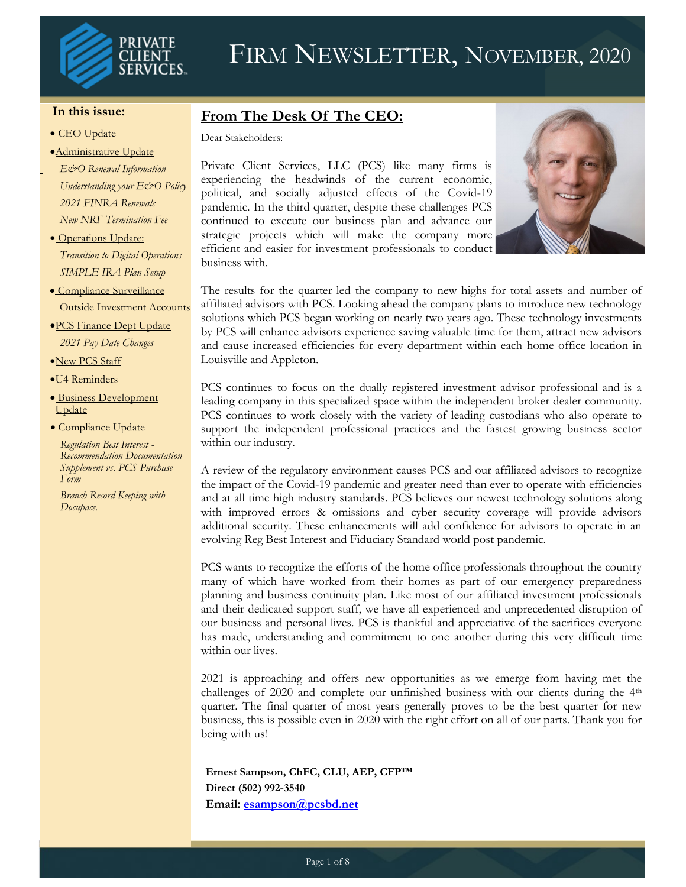

#### **In this issue:**

#### • CEO Update

#### •Administrative Update

*E&O Renewal Information Understanding your E&O Policy 2021 FINRA Renewals New NRF Termination Fee*

- Operations Update: *Transition to Digital Operations SIMPLE IRA Plan Setup*
- Compliance Surveillance Outside Investment Accounts
- •PCS Finance Dept Update *2021 Pay Date Changes*

•New PCS Staff

- •U4 Reminders
- Business Development Update

• Compliance Update

*Regulation Best Interest - Recommendation Documentation Supplement vs. PCS Purchase Form*

*Branch Record Keeping with Docupace.*

## **From The Desk Of The CEO:**

Dear Stakeholders:

Private Client Services, LLC (PCS) like many firms is experiencing the headwinds of the current economic, political, and socially adjusted effects of the Covid-19 pandemic. In the third quarter, despite these challenges PCS continued to execute our business plan and advance our strategic projects which will make the company more efficient and easier for investment professionals to conduct business with.



The results for the quarter led the company to new highs for total assets and number of affiliated advisors with PCS. Looking ahead the company plans to introduce new technology solutions which PCS began working on nearly two years ago. These technology investments by PCS will enhance advisors experience saving valuable time for them, attract new advisors and cause increased efficiencies for every department within each home office location in Louisville and Appleton.

PCS continues to focus on the dually registered investment advisor professional and is a leading company in this specialized space within the independent broker dealer community. PCS continues to work closely with the variety of leading custodians who also operate to support the independent professional practices and the fastest growing business sector within our industry.

A review of the regulatory environment causes PCS and our affiliated advisors to recognize the impact of the Covid-19 pandemic and greater need than ever to operate with efficiencies and at all time high industry standards. PCS believes our newest technology solutions along with improved errors & omissions and cyber security coverage will provide advisors additional security. These enhancements will add confidence for advisors to operate in an evolving Reg Best Interest and Fiduciary Standard world post pandemic.

PCS wants to recognize the efforts of the home office professionals throughout the country many of which have worked from their homes as part of our emergency preparedness planning and business continuity plan. Like most of our affiliated investment professionals and their dedicated support staff, we have all experienced and unprecedented disruption of our business and personal lives. PCS is thankful and appreciative of the sacrifices everyone has made, understanding and commitment to one another during this very difficult time within our lives.

2021 is approaching and offers new opportunities as we emerge from having met the challenges of 2020 and complete our unfinished business with our clients during the 4th quarter. The final quarter of most years generally proves to be the best quarter for new business, this is possible even in 2020 with the right effort on all of our parts. Thank you for being with us!

**Ernest Sampson, ChFC, CLU, AEP, CFP™ Direct (502) 992-3540 Email: [esampson@pcsbd.net](mailto:esampson@pcsbd.net)**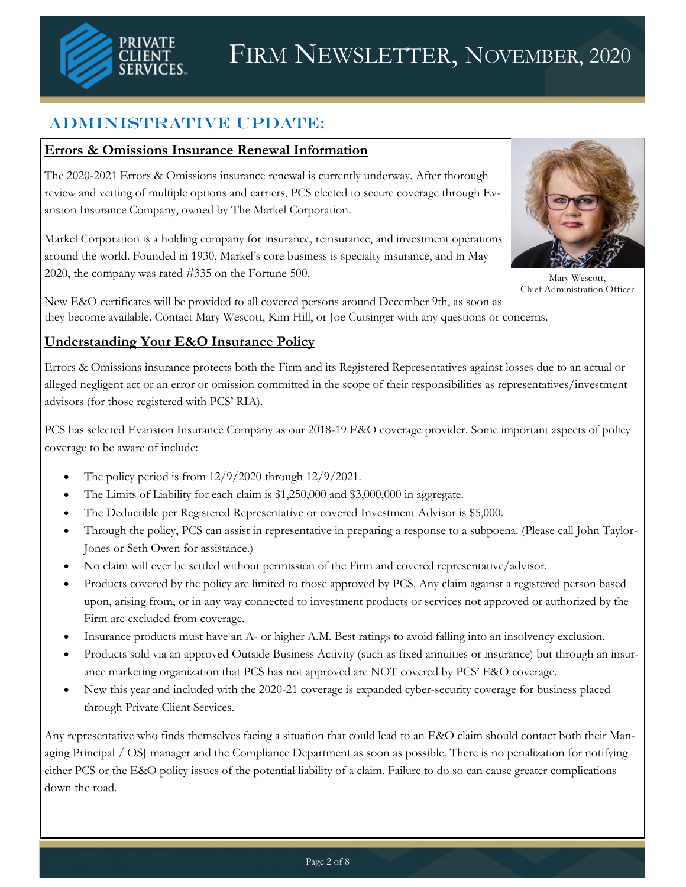

# Administrative Update:

### **Errors & Omissions Insurance Renewal Information**

The 2020-2021 Errors & Omissions insurance renewal is currently underway. After thorough review and vetting of multiple options and carriers, PCS elected to secure coverage through Evanston Insurance Company, owned by The Markel Corporation.

Markel Corporation is a holding company for insurance, reinsurance, and investment operations around the world. Founded in 1930, Markel's core business is specialty insurance, and in May 2020, the company was rated #335 on the Fortune 500.



Mary Wescott, Chief Administration Officer

New E&O certificates will be provided to all covered persons around December 9th, as soon as they become available. Contact Mary Wescott, Kim Hill, or Joe Cutsinger with any questions or concerns.

## **Understanding Your E&O Insurance Policy**

Errors & Omissions insurance protects both the Firm and its Registered Representatives against losses due to an actual or alleged negligent act or an error or omission committed in the scope of their responsibilities as representatives/investment advisors (for those registered with PCS' RIA).

PCS has selected Evanston Insurance Company as our 2018-19 E&O coverage provider. Some important aspects of policy coverage to be aware of include:

- The policy period is from  $12/9/2020$  through  $12/9/2021$ .
- The Limits of Liability for each claim is \$1,250,000 and \$3,000,000 in aggregate.
- The Deductible per Registered Representative or covered Investment Advisor is \$5,000.
- Through the policy, PCS can assist in representative in preparing a response to a subpoena. (Please call John Taylor-Jones or Seth Owen for assistance.)
- No claim will ever be settled without permission of the Firm and covered representative/advisor.
- Products covered by the policy are limited to those approved by PCS. Any claim against a registered person based upon, arising from, or in any way connected to investment products or services not approved or authorized by the Firm are excluded from coverage.
- Insurance products must have an A- or higher A.M. Best ratings to avoid falling into an insolvency exclusion.
- Products sold via an approved Outside Business Activity (such as fixed annuities or insurance) but through an insurance marketing organization that PCS has not approved are NOT covered by PCS' E&O coverage.
- New this year and included with the 2020-21 coverage is expanded cyber-security coverage for business placed through Private Client Services.

Any representative who finds themselves facing a situation that could lead to an E&O claim should contact both their Managing Principal / OSJ manager and the Compliance Department as soon as possible. There is no penalization for notifying either PCS or the E&O policy issues of the potential liability of a claim. Failure to do so can cause greater complications down the road.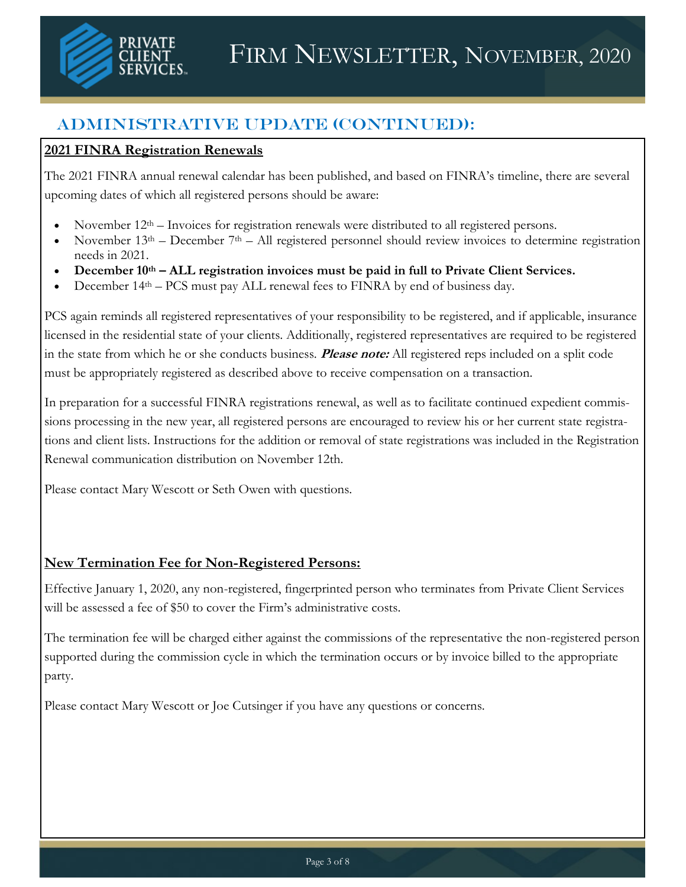

# Administrative Update (continued):

## **2021 FINRA Registration Renewals**

The 2021 FINRA annual renewal calendar has been published, and based on FINRA's timeline, there are several upcoming dates of which all registered persons should be aware:

- November  $12<sup>th</sup>$  Invoices for registration renewals were distributed to all registered persons.
- November  $13<sup>th</sup>$  December  $7<sup>th</sup>$  All registered personnel should review invoices to determine registration needs in 2021.
- **December 10th – ALL registration invoices must be paid in full to Private Client Services.**
- December 14th PCS must pay ALL renewal fees to FINRA by end of business day.

PCS again reminds all registered representatives of your responsibility to be registered, and if applicable, insurance licensed in the residential state of your clients. Additionally, registered representatives are required to be registered in the state from which he or she conducts business. **Please note:** All registered reps included on a split code must be appropriately registered as described above to receive compensation on a transaction.

In preparation for a successful FINRA registrations renewal, as well as to facilitate continued expedient commissions processing in the new year, all registered persons are encouraged to review his or her current state registrations and client lists. Instructions for the addition or removal of state registrations was included in the Registration Renewal communication distribution on November 12th.

Please contact Mary Wescott or Seth Owen with questions.

## **New Termination Fee for Non-Registered Persons:**

Effective January 1, 2020, any non-registered, fingerprinted person who terminates from Private Client Services will be assessed a fee of \$50 to cover the Firm's administrative costs.

The termination fee will be charged either against the commissions of the representative the non-registered person supported during the commission cycle in which the termination occurs or by invoice billed to the appropriate party.

Please contact Mary Wescott or Joe Cutsinger if you have any questions or concerns.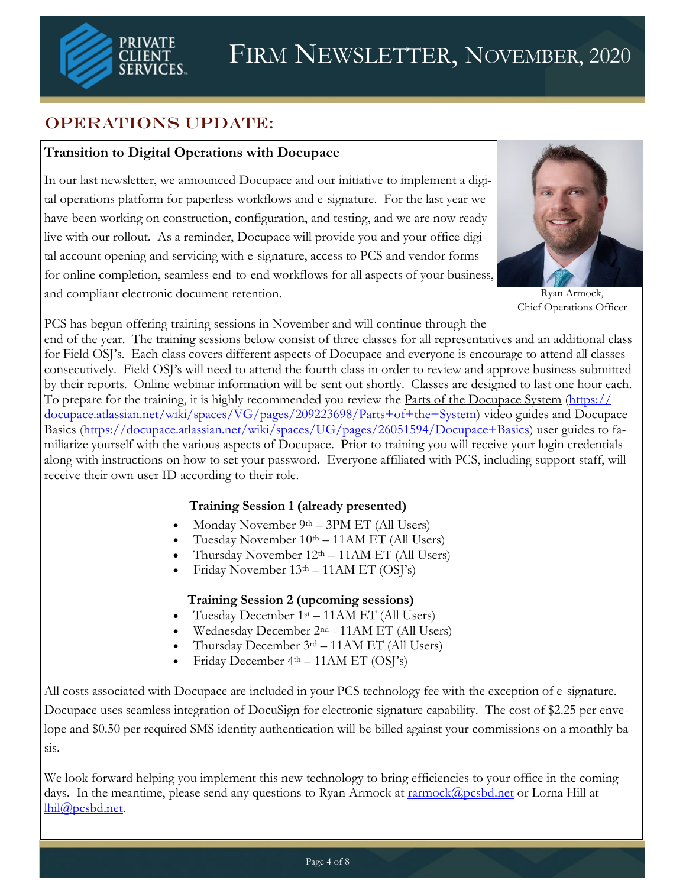

# OPERATIONS UPDATE:

## **Transition to Digital Operations with Docupace**

In our last newsletter, we announced Docupace and our initiative to implement a digital operations platform for paperless workflows and e-signature. For the last year we have been working on construction, configuration, and testing, and we are now ready live with our rollout. As a reminder, Docupace will provide you and your office digital account opening and servicing with e-signature, access to PCS and vendor forms for online completion, seamless end-to-end workflows for all aspects of your business, and compliant electronic document retention.



Ryan Armock, Chief Operations Officer

PCS has begun offering training sessions in November and will continue through the

end of the year. The training sessions below consist of three classes for all representatives and an additional class for Field OSJ's. Each class covers different aspects of Docupace and everyone is encourage to attend all classes consecutively. Field OSJ's will need to attend the fourth class in order to review and approve business submitted by their reports. Online webinar information will be sent out shortly. Classes are designed to last one hour each. To prepare for the training, it is highly recommended you review the [Parts of the Docupace System](https://docupace.atlassian.net/wiki/spaces/VG/pages/209223698/Parts+of+the+System) ([https://](https://docupace.atlassian.net/wiki/spaces/VG/pages/209223698/Parts+of+the+System) [docupace.atlassian.net/wiki/spaces/VG/pages/209223698/Parts+of+the+System\)](https://docupace.atlassian.net/wiki/spaces/VG/pages/209223698/Parts+of+the+System) video guides and [Docupace](https://docupace.atlassian.net/wiki/spaces/UG/pages/26051594/Docupace+Basics)  [Basics](https://docupace.atlassian.net/wiki/spaces/UG/pages/26051594/Docupace+Basics) ([https://docupace.atlassian.net/wiki/spaces/UG/pages/26051594/Docupace+Basics\)](https://docupace.atlassian.net/wiki/spaces/UG/pages/26051594/Docupace+Basics) user guides to familiarize yourself with the various aspects of Docupace. Prior to training you will receive your login credentials along with instructions on how to set your password. Everyone affiliated with PCS, including support staff, will receive their own user ID according to their role.

#### **Training Session 1 (already presented)**

- Monday November  $9<sup>th</sup> 3PM ET$  (All Users)
- Tuesday November  $10<sup>th</sup> 11AM ET (All Users)$
- Thursday November  $12<sup>th</sup> 11AM ET$  (All Users)
- Friday November 13th 11AM ET (OSJ's)

#### **Training Session 2 (upcoming sessions)**

- Tuesday December 1st 11AM ET (All Users)
- Wednesday December 2nd 11AM ET (All Users)
- Thursday December  $3<sup>rd</sup> 11AM ET$  (All Users)
- Friday December 4th 11AM ET (OSJ's)

All costs associated with Docupace are included in your PCS technology fee with the exception of e-signature. Docupace uses seamless integration of DocuSign for electronic signature capability. The cost of \$2.25 per envelope and \$0.50 per required SMS identity authentication will be billed against your commissions on a monthly basis.

We look forward helping you implement this new technology to bring efficiencies to your office in the coming days. In the meantime, please send any questions to Ryan Armock at [rarmock@pcsbd.net](mailto:rarmock@pcsbd.net) or Lorna Hill at [lhil@pcsbd.net.](mailto:lhil@pcsbd.net)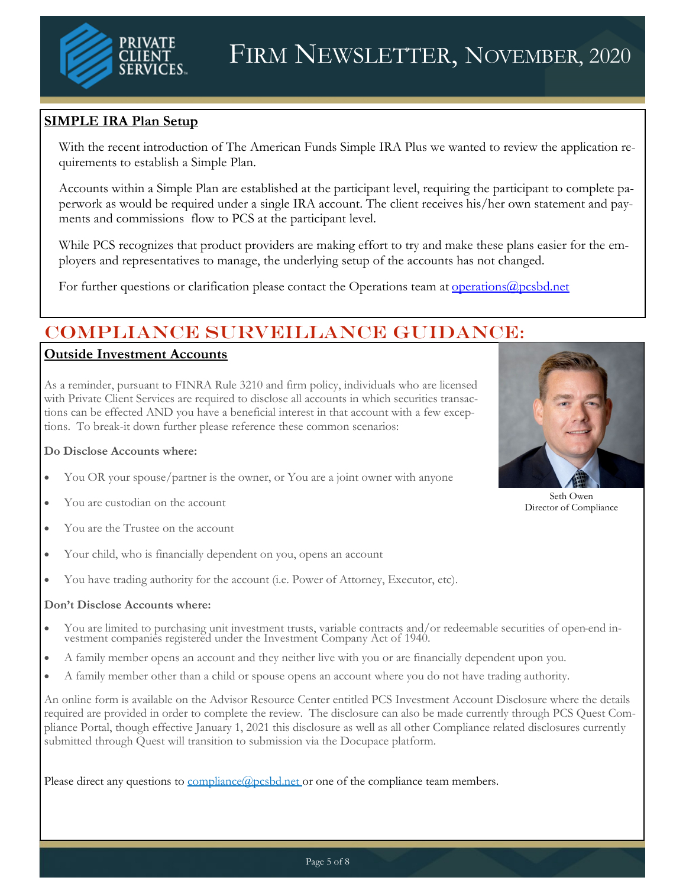

#### **SIMPLE IRA Plan Setup**

With the recent introduction of The American Funds Simple IRA Plus we wanted to review the application requirements to establish a Simple Plan.

Accounts within a Simple Plan are established at the participant level, requiring the participant to complete paperwork as would be required under a single IRA account. The client receives his/her own statement and payments and commissions flow to PCS at the participant level.

While PCS recognizes that product providers are making effort to try and make these plans easier for the employers and representatives to manage, the underlying setup of the accounts has not changed.

For further questions or clarification please contact the Operations team at <u>operations</u>@pcsbd.net

# Compliance Surveillance Guidance:

#### **Outside Investment Accounts**

As a reminder, pursuant to FINRA Rule 3210 and firm policy, individuals who are licensed with Private Client Services are required to disclose all accounts in which securities transactions can be effected AND you have a beneficial interest in that account with a few exceptions. To break-it down further please reference these common scenarios:

#### **Do Disclose Accounts where:**

- You OR your spouse/partner is the owner, or You are a joint owner with anyone
- You are custodian on the account
- You are the Trustee on the account
- Your child, who is financially dependent on you, opens an account
- You have trading authority for the account (i.e. Power of Attorney, Executor, etc).

#### **Don't Disclose Accounts where:**

- You are limited to purchasing unit investment trusts, variable contracts and/or redeemable securities of open-end investment companies registered under the Investment Company Act of 1940.
- A family member opens an account and they neither live with you or are financially dependent upon you.
- A family member other than a child or spouse opens an account where you do not have trading authority.

An online form is available on the Advisor Resource Center entitled PCS Investment Account Disclosure where the details required are provided in order to complete the review. The disclosure can also be made currently through PCS Quest Compliance Portal, though effective January 1, 2021 this disclosure as well as all other Compliance related disclosures currently submitted through Quest will transition to submission via the Docupace platform.

Please direct any questions to [compliance@pcsbd.net](mailto:compliance@pcsbd.net) or one of the compliance team members.



Seth Owen Director of Compliance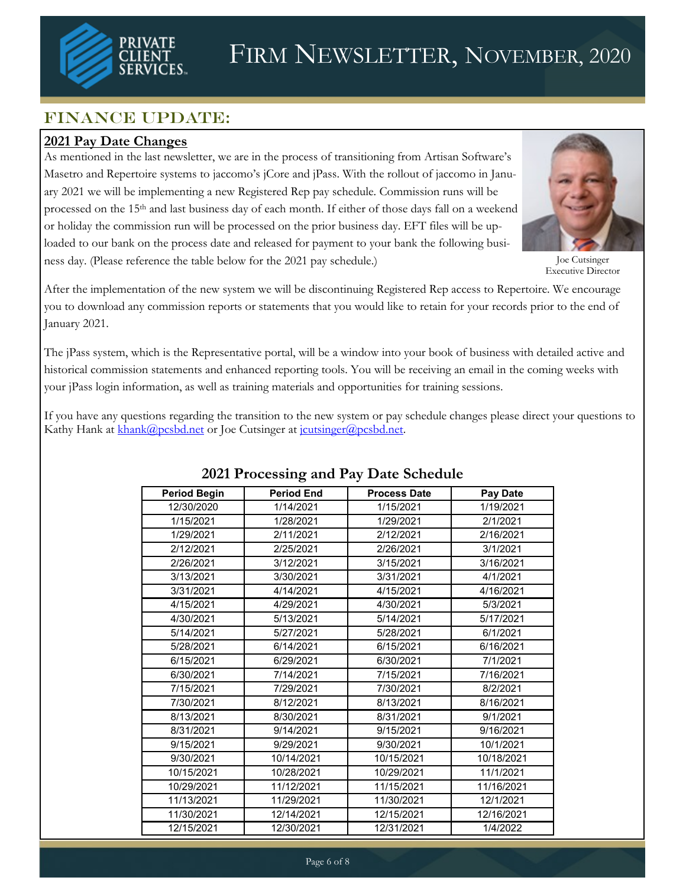

# FIRM NEWSLETTER, NOVEMBER, 2020

# FINANCE UPDATE:

## **2021 Pay Date Changes**

As mentioned in the last newsletter, we are in the process of transitioning from Artisan Software's Masetro and Repertoire systems to jaccomo's jCore and jPass. With the rollout of jaccomo in January 2021 we will be implementing a new Registered Rep pay schedule. Commission runs will be processed on the 15<sup>th</sup> and last business day of each month. If either of those days fall on a weekend or holiday the commission run will be processed on the prior business day. EFT files will be uploaded to our bank on the process date and released for payment to your bank the following business day. (Please reference the table below for the 2021 pay schedule.)



Joe Cutsinger Executive Director

After the implementation of the new system we will be discontinuing Registered Rep access to Repertoire. We encourage you to download any commission reports or statements that you would like to retain for your records prior to the end of January 2021.

The jPass system, which is the Representative portal, will be a window into your book of business with detailed active and historical commission statements and enhanced reporting tools. You will be receiving an email in the coming weeks with your jPass login information, as well as training materials and opportunities for training sessions.

If you have any questions regarding the transition to the new system or pay schedule changes please direct your questions to Kathy Hank at [khank@pcsbd.net](mailto:khank@pcsbd.net) or Joe Cutsinger at joutsinger@pcsbd.net.

| $\frac{1}{2}$ . There is the state of $\frac{1}{2}$ and $\frac{1}{2}$ and $\frac{1}{2}$ |                   |                     |                 |
|-----------------------------------------------------------------------------------------|-------------------|---------------------|-----------------|
| <b>Period Begin</b>                                                                     | <b>Period End</b> | <b>Process Date</b> | <b>Pay Date</b> |
| 12/30/2020                                                                              | 1/14/2021         | 1/15/2021           | 1/19/2021       |
| 1/15/2021                                                                               | 1/28/2021         | 1/29/2021           | 2/1/2021        |
| 1/29/2021                                                                               | 2/11/2021         | 2/12/2021           | 2/16/2021       |
| 2/12/2021                                                                               | 2/25/2021         | 2/26/2021           | 3/1/2021        |
| 2/26/2021                                                                               | 3/12/2021         | 3/15/2021           | 3/16/2021       |
| 3/13/2021                                                                               | 3/30/2021         | 3/31/2021           | 4/1/2021        |
| 3/31/2021                                                                               | 4/14/2021         | 4/15/2021           | 4/16/2021       |
| 4/15/2021                                                                               | 4/29/2021         | 4/30/2021           | 5/3/2021        |
| 4/30/2021                                                                               | 5/13/2021         | 5/14/2021           | 5/17/2021       |
| 5/14/2021                                                                               | 5/27/2021         | 5/28/2021           | 6/1/2021        |
| 5/28/2021                                                                               | 6/14/2021         | 6/15/2021           | 6/16/2021       |
| 6/15/2021                                                                               | 6/29/2021         | 6/30/2021           | 7/1/2021        |
| 6/30/2021                                                                               | 7/14/2021         | 7/15/2021           | 7/16/2021       |
| 7/15/2021                                                                               | 7/29/2021         | 7/30/2021           | 8/2/2021        |
| 7/30/2021                                                                               | 8/12/2021         | 8/13/2021           | 8/16/2021       |
| 8/13/2021                                                                               | 8/30/2021         | 8/31/2021           | 9/1/2021        |
| 8/31/2021                                                                               | 9/14/2021         | 9/15/2021           | 9/16/2021       |
| 9/15/2021                                                                               | 9/29/2021         | 9/30/2021           | 10/1/2021       |
| 9/30/2021                                                                               | 10/14/2021        | 10/15/2021          | 10/18/2021      |
| 10/15/2021                                                                              | 10/28/2021        | 10/29/2021          | 11/1/2021       |
| 10/29/2021                                                                              | 11/12/2021        | 11/15/2021          | 11/16/2021      |
| 11/13/2021                                                                              | 11/29/2021        | 11/30/2021          | 12/1/2021       |
| 11/30/2021                                                                              | 12/14/2021        | 12/15/2021          | 12/16/2021      |
| 12/15/2021                                                                              | 12/30/2021        | 12/31/2021          | 1/4/2022        |

## **2021 Processing and Pay Date Schedule**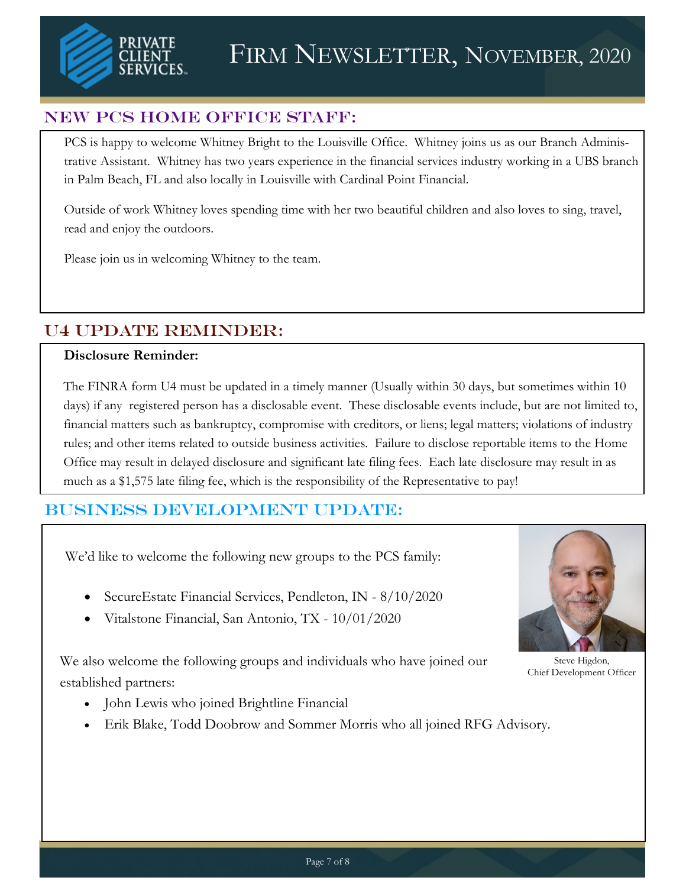

## New PCS Home Office Staff:

PCS is happy to welcome Whitney Bright to the Louisville Office. Whitney joins us as our Branch Administrative Assistant. Whitney has two years experience in the financial services industry working in a UBS branch in Palm Beach, FL and also locally in Louisville with Cardinal Point Financial.

Outside of work Whitney loves spending time with her two beautiful children and also loves to sing, travel, read and enjoy the outdoors.

Please join us in welcoming Whitney to the team.

# U4 UPDATE REMINDER:

#### **Disclosure Reminder:**

The FINRA form U4 must be updated in a timely manner (Usually within 30 days, but sometimes within 10 days) if any registered person has a disclosable event. These disclosable events include, but are not limited to, financial matters such as bankruptcy, compromise with creditors, or liens; legal matters; violations of industry rules; and other items related to outside business activities. Failure to disclose reportable items to the Home Office may result in delayed disclosure and significant late filing fees. Each late disclosure may result in as much as a \$1,575 late filing fee, which is the responsibility of the Representative to pay!

# Business Development UPDATE:

We'd like to welcome the following new groups to the PCS family:

- SecureEstate Financial Services, Pendleton, IN 8/10/2020
- Vitalstone Financial, San Antonio, TX 10/01/2020

We also welcome the following groups and individuals who have joined our established partners:



Steve Higdon, Chief Development Officer

- John Lewis who joined Brightline Financial
- Erik Blake, Todd Doobrow and Sommer Morris who all joined RFG Advisory.